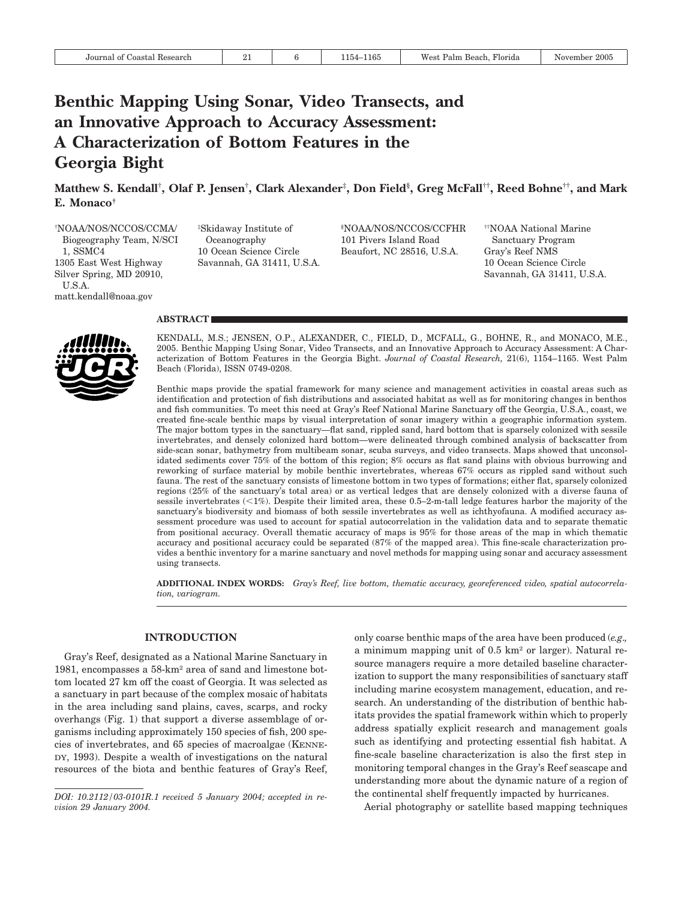# **Benthic Mapping Using Sonar, Video Transects, and an Innovative Approach to Accuracy Assessment: A Characterization of Bottom Features in the Georgia Bight**

**Matthew S. Kendall**† **, Olaf P. Jensen**† **, Clark Alexander**‡ **, Don Field**§ **, Greg McFall**††**, Reed Bohne**††**, and Mark E. Monaco†**

† NOAA/NOS/NCCOS/CCMA/ Biogeography Team, N/SCI 1, SSMC4 1305 East West Highway Silver Spring, MD 20910, U.S.A. matt.kendall@noaa.gov

‡ Skidaway Institute of Oceanography 10 Ocean Science Circle Savannah, GA 31411, U.S.A. § NOAA/NOS/NCCOS/CCFHR 101 Pivers Island Road Beaufort, NC 28516, U.S.A.

††NOAA National Marine Sanctuary Program Gray's Reef NMS 10 Ocean Science Circle Savannah, GA 31411, U.S.A.

## **ABSTRACT**



KENDALL, M.S.; JENSEN, O.P., ALEXANDER, C., FIELD, D., MCFALL, G., BOHNE, R., and MONACO, M.E., 2005. Benthic Mapping Using Sonar, Video Transects, and an Innovative Approach to Accuracy Assessment: A Characterization of Bottom Features in the Georgia Bight. *Journal of Coastal Research,* 21(6), 1154–1165. West Palm Beach (Florida), ISSN 0749-0208.

Benthic maps provide the spatial framework for many science and management activities in coastal areas such as identification and protection of fish distributions and associated habitat as well as for monitoring changes in benthos and fish communities. To meet this need at Gray's Reef National Marine Sanctuary off the Georgia, U.S.A., coast, we created fine-scale benthic maps by visual interpretation of sonar imagery within a geographic information system. The major bottom types in the sanctuary—flat sand, rippled sand, hard bottom that is sparsely colonized with sessile invertebrates, and densely colonized hard bottom—were delineated through combined analysis of backscatter from side-scan sonar, bathymetry from multibeam sonar, scuba surveys, and video transects. Maps showed that unconsolidated sediments cover 75% of the bottom of this region; 8% occurs as flat sand plains with obvious burrowing and reworking of surface material by mobile benthic invertebrates, whereas 67% occurs as rippled sand without such fauna. The rest of the sanctuary consists of limestone bottom in two types of formations; either flat, sparsely colonized regions (25% of the sanctuary's total area) or as vertical ledges that are densely colonized with a diverse fauna of sessile invertebrates  $(\leq 1\%)$ . Despite their limited area, these 0.5–2-m-tall ledge features harbor the majority of the sanctuary's biodiversity and biomass of both sessile invertebrates as well as ichthyofauna. A modified accuracy assessment procedure was used to account for spatial autocorrelation in the validation data and to separate thematic from positional accuracy. Overall thematic accuracy of maps is 95% for those areas of the map in which thematic accuracy and positional accuracy could be separated (87% of the mapped area). This fine-scale characterization provides a benthic inventory for a marine sanctuary and novel methods for mapping using sonar and accuracy assessment using transects.

**ADDITIONAL INDEX WORDS:** *Gray's Reef, live bottom, thematic accuracy, georeferenced video, spatial autocorrelation, variogram.*

# **INTRODUCTION**

Gray's Reef, designated as a National Marine Sanctuary in 1981, encompasses a 58-km2 area of sand and limestone bottom located 27 km off the coast of Georgia. It was selected as a sanctuary in part because of the complex mosaic of habitats in the area including sand plains, caves, scarps, and rocky overhangs (Fig. 1) that support a diverse assemblage of organisms including approximately 150 species of fish, 200 species of invertebrates, and 65 species of macroalgae (KENNE-DY, 1993). Despite a wealth of investigations on the natural resources of the biota and benthic features of Gray's Reef,

only coarse benthic maps of the area have been produced (*e.g.,* a minimum mapping unit of 0.5 km2 or larger). Natural resource managers require a more detailed baseline characterization to support the many responsibilities of sanctuary staff including marine ecosystem management, education, and research. An understanding of the distribution of benthic habitats provides the spatial framework within which to properly address spatially explicit research and management goals such as identifying and protecting essential fish habitat. A fine-scale baseline characterization is also the first step in monitoring temporal changes in the Gray's Reef seascape and understanding more about the dynamic nature of a region of the continental shelf frequently impacted by hurricanes.

Aerial photography or satellite based mapping techniques

*DOI: 10.2112/03-0101R.1 received 5 January 2004; accepted in revision 29 January 2004.*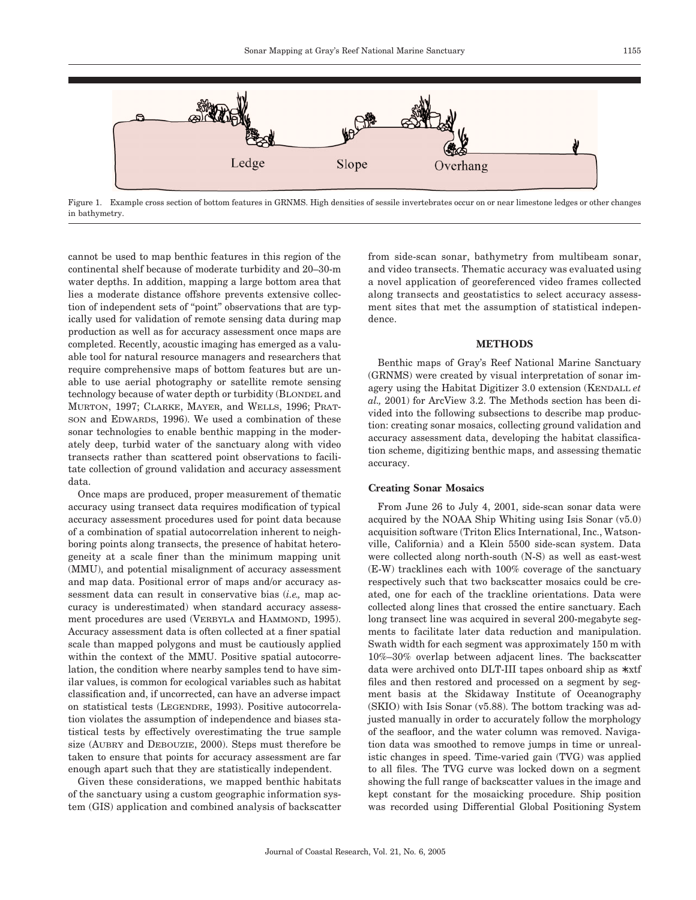

Figure 1. Example cross section of bottom features in GRNMS. High densities of sessile invertebrates occur on or near limestone ledges or other changes in bathymetry.

cannot be used to map benthic features in this region of the continental shelf because of moderate turbidity and 20–30-m water depths. In addition, mapping a large bottom area that lies a moderate distance offshore prevents extensive collection of independent sets of ''point'' observations that are typically used for validation of remote sensing data during map production as well as for accuracy assessment once maps are completed. Recently, acoustic imaging has emerged as a valuable tool for natural resource managers and researchers that require comprehensive maps of bottom features but are unable to use aerial photography or satellite remote sensing technology because of water depth or turbidity (BLONDEL and MURTON, 1997; CLARKE, MAYER, and WELLS, 1996; PRAT-SON and EDWARDS, 1996). We used a combination of these sonar technologies to enable benthic mapping in the moderately deep, turbid water of the sanctuary along with video transects rather than scattered point observations to facilitate collection of ground validation and accuracy assessment data.

Once maps are produced, proper measurement of thematic accuracy using transect data requires modification of typical accuracy assessment procedures used for point data because of a combination of spatial autocorrelation inherent to neighboring points along transects, the presence of habitat heterogeneity at a scale finer than the minimum mapping unit (MMU), and potential misalignment of accuracy assessment and map data. Positional error of maps and/or accuracy assessment data can result in conservative bias (*i.e.,* map accuracy is underestimated) when standard accuracy assessment procedures are used (VERBYLA and HAMMOND, 1995). Accuracy assessment data is often collected at a finer spatial scale than mapped polygons and must be cautiously applied within the context of the MMU. Positive spatial autocorrelation, the condition where nearby samples tend to have similar values, is common for ecological variables such as habitat classification and, if uncorrected, can have an adverse impact on statistical tests (LEGENDRE, 1993). Positive autocorrelation violates the assumption of independence and biases statistical tests by effectively overestimating the true sample size (AUBRY and DEBOUZIE, 2000). Steps must therefore be taken to ensure that points for accuracy assessment are far enough apart such that they are statistically independent.

Given these considerations, we mapped benthic habitats of the sanctuary using a custom geographic information system (GIS) application and combined analysis of backscatter from side-scan sonar, bathymetry from multibeam sonar, and video transects. Thematic accuracy was evaluated using a novel application of georeferenced video frames collected along transects and geostatistics to select accuracy assessment sites that met the assumption of statistical independence.

### **METHODS**

Benthic maps of Gray's Reef National Marine Sanctuary (GRNMS) were created by visual interpretation of sonar imagery using the Habitat Digitizer 3.0 extension (KENDALL *et al.,* 2001) for ArcView 3.2. The Methods section has been divided into the following subsections to describe map production: creating sonar mosaics, collecting ground validation and accuracy assessment data, developing the habitat classification scheme, digitizing benthic maps, and assessing thematic accuracy.

#### **Creating Sonar Mosaics**

From June 26 to July 4, 2001, side-scan sonar data were acquired by the NOAA Ship Whiting using Isis Sonar (v5.0) acquisition software (Triton Elics International, Inc., Watsonville, California) and a Klein 5500 side-scan system. Data were collected along north-south (N-S) as well as east-west (E-W) tracklines each with 100% coverage of the sanctuary respectively such that two backscatter mosaics could be created, one for each of the trackline orientations. Data were collected along lines that crossed the entire sanctuary. Each long transect line was acquired in several 200-megabyte segments to facilitate later data reduction and manipulation. Swath width for each segment was approximately 150 m with 10%–30% overlap between adjacent lines. The backscatter data were archived onto DLT-III tapes onboard ship as ∗.xtf files and then restored and processed on a segment by segment basis at the Skidaway Institute of Oceanography (SKIO) with Isis Sonar (v5.88). The bottom tracking was adjusted manually in order to accurately follow the morphology of the seafloor, and the water column was removed. Navigation data was smoothed to remove jumps in time or unrealistic changes in speed. Time-varied gain (TVG) was applied to all files. The TVG curve was locked down on a segment showing the full range of backscatter values in the image and kept constant for the mosaicking procedure. Ship position was recorded using Differential Global Positioning System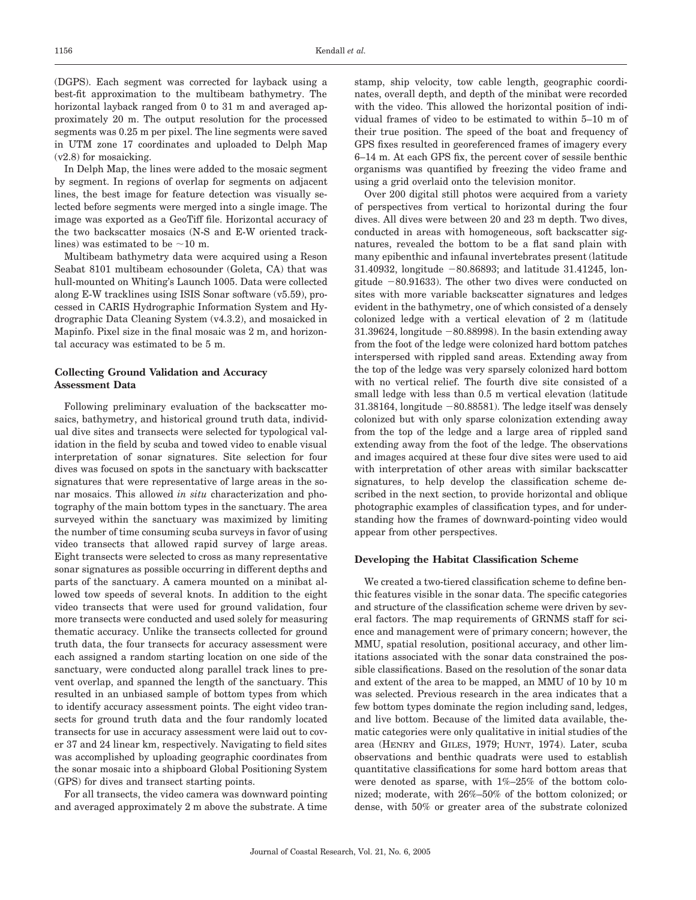(DGPS). Each segment was corrected for layback using a best-fit approximation to the multibeam bathymetry. The horizontal layback ranged from 0 to 31 m and averaged approximately 20 m. The output resolution for the processed segments was 0.25 m per pixel. The line segments were saved in UTM zone 17 coordinates and uploaded to Delph Map (v2.8) for mosaicking.

In Delph Map, the lines were added to the mosaic segment by segment. In regions of overlap for segments on adjacent lines, the best image for feature detection was visually selected before segments were merged into a single image. The image was exported as a GeoTiff file. Horizontal accuracy of the two backscatter mosaics (N-S and E-W oriented tracklines) was estimated to be  $\sim$ 10 m.

Multibeam bathymetry data were acquired using a Reson Seabat 8101 multibeam echosounder (Goleta, CA) that was hull-mounted on Whiting's Launch 1005. Data were collected along E-W tracklines using ISIS Sonar software (v5.59), processed in CARIS Hydrographic Information System and Hydrographic Data Cleaning System (v4.3.2), and mosaicked in Mapinfo. Pixel size in the final mosaic was 2 m, and horizontal accuracy was estimated to be 5 m.

## **Collecting Ground Validation and Accuracy Assessment Data**

Following preliminary evaluation of the backscatter mosaics, bathymetry, and historical ground truth data, individual dive sites and transects were selected for typological validation in the field by scuba and towed video to enable visual interpretation of sonar signatures. Site selection for four dives was focused on spots in the sanctuary with backscatter signatures that were representative of large areas in the sonar mosaics. This allowed *in situ* characterization and photography of the main bottom types in the sanctuary. The area surveyed within the sanctuary was maximized by limiting the number of time consuming scuba surveys in favor of using video transects that allowed rapid survey of large areas. Eight transects were selected to cross as many representative sonar signatures as possible occurring in different depths and parts of the sanctuary. A camera mounted on a minibat allowed tow speeds of several knots. In addition to the eight video transects that were used for ground validation, four more transects were conducted and used solely for measuring thematic accuracy. Unlike the transects collected for ground truth data, the four transects for accuracy assessment were each assigned a random starting location on one side of the sanctuary, were conducted along parallel track lines to prevent overlap, and spanned the length of the sanctuary. This resulted in an unbiased sample of bottom types from which to identify accuracy assessment points. The eight video transects for ground truth data and the four randomly located transects for use in accuracy assessment were laid out to cover 37 and 24 linear km, respectively. Navigating to field sites was accomplished by uploading geographic coordinates from the sonar mosaic into a shipboard Global Positioning System (GPS) for dives and transect starting points.

For all transects, the video camera was downward pointing and averaged approximately 2 m above the substrate. A time stamp, ship velocity, tow cable length, geographic coordinates, overall depth, and depth of the minibat were recorded with the video. This allowed the horizontal position of individual frames of video to be estimated to within 5–10 m of their true position. The speed of the boat and frequency of GPS fixes resulted in georeferenced frames of imagery every 6–14 m. At each GPS fix, the percent cover of sessile benthic organisms was quantified by freezing the video frame and using a grid overlaid onto the television monitor.

Over 200 digital still photos were acquired from a variety of perspectives from vertical to horizontal during the four dives. All dives were between 20 and 23 m depth. Two dives, conducted in areas with homogeneous, soft backscatter signatures, revealed the bottom to be a flat sand plain with many epibenthic and infaunal invertebrates present (latitude 31.40932, longitude  $-80.86893$ ; and latitude 31.41245, longitude  $-80.91633$ ). The other two dives were conducted on sites with more variable backscatter signatures and ledges evident in the bathymetry, one of which consisted of a densely colonized ledge with a vertical elevation of 2 m (latitude 31.39624, longitude  $-80.88998$ ). In the basin extending away from the foot of the ledge were colonized hard bottom patches interspersed with rippled sand areas. Extending away from the top of the ledge was very sparsely colonized hard bottom with no vertical relief. The fourth dive site consisted of a small ledge with less than 0.5 m vertical elevation (latitude 31.38164, longitude  $-80.88581$ ). The ledge itself was densely colonized but with only sparse colonization extending away from the top of the ledge and a large area of rippled sand extending away from the foot of the ledge. The observations and images acquired at these four dive sites were used to aid with interpretation of other areas with similar backscatter signatures, to help develop the classification scheme described in the next section, to provide horizontal and oblique photographic examples of classification types, and for understanding how the frames of downward-pointing video would appear from other perspectives.

#### **Developing the Habitat Classification Scheme**

We created a two-tiered classification scheme to define benthic features visible in the sonar data. The specific categories and structure of the classification scheme were driven by several factors. The map requirements of GRNMS staff for science and management were of primary concern; however, the MMU, spatial resolution, positional accuracy, and other limitations associated with the sonar data constrained the possible classifications. Based on the resolution of the sonar data and extent of the area to be mapped, an MMU of 10 by 10 m was selected. Previous research in the area indicates that a few bottom types dominate the region including sand, ledges, and live bottom. Because of the limited data available, thematic categories were only qualitative in initial studies of the area (HENRY and GILES, 1979; HUNT, 1974). Later, scuba observations and benthic quadrats were used to establish quantitative classifications for some hard bottom areas that were denoted as sparse, with 1%–25% of the bottom colonized; moderate, with 26%–50% of the bottom colonized; or dense, with 50% or greater area of the substrate colonized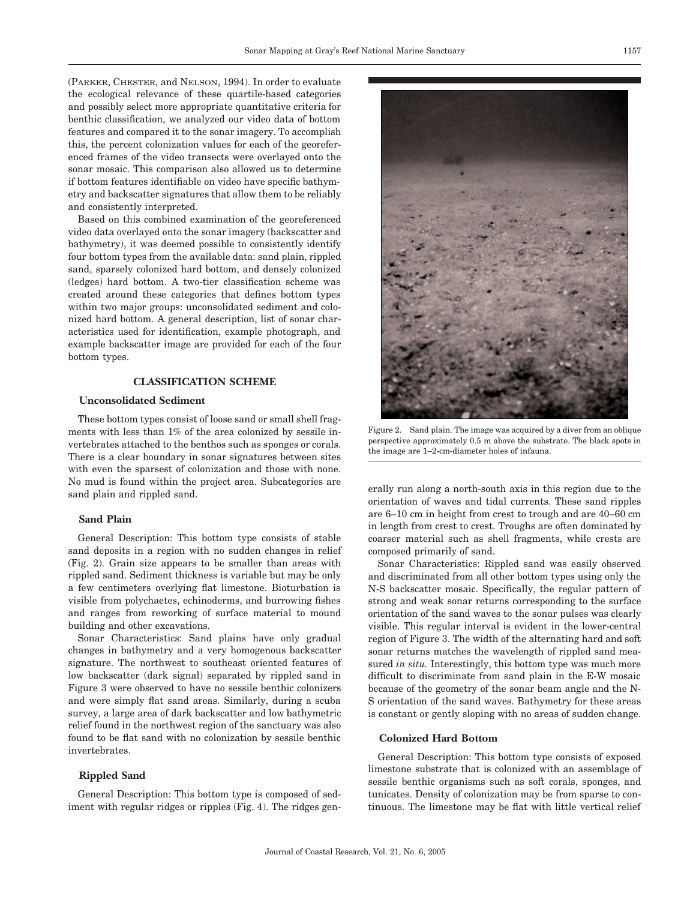(PARKER, CHESTER, and NELSON, 1994). In order to evaluate the ecological relevance of these quartile-based categories and possibly select more appropriate quantitative criteria for benthic classification, we analyzed our video data of bottom features and compared it to the sonar imagery. To accomplish this, the percent colonization values for each of the georeferenced frames of the video transects were overlayed onto the sonar mosaic. This comparison also allowed us to determine if bottom features identifiable on video have specific bathymetry and backscatter signatures that allow them to be reliably and consistently interpreted.

Based on this combined examination of the georeferenced video data overlayed onto the sonar imagery (backscatter and bathymetry), it was deemed possible to consistently identify four bottom types from the available data: sand plain, rippled sand, sparsely colonized hard bottom, and densely colonized (ledges) hard bottom. A two-tier classification scheme was created around these categories that defines bottom types within two major groups: unconsolidated sediment and colonized hard bottom. A general description, list of sonar characteristics used for identification, example photograph, and example backscatter image are provided for each of the four bottom types.

# **CLASSIFICATION SCHEME**

## **Unconsolidated Sediment**

These bottom types consist of loose sand or small shell fragments with less than 1% of the area colonized by sessile invertebrates attached to the benthos such as sponges or corals. There is a clear boundary in sonar signatures between sites with even the sparsest of colonization and those with none. No mud is found within the project area. Subcategories are sand plain and rippled sand.

#### **Sand Plain**

General Description: This bottom type consists of stable sand deposits in a region with no sudden changes in relief (Fig. 2). Grain size appears to be smaller than areas with rippled sand. Sediment thickness is variable but may be only a few centimeters overlying flat limestone. Bioturbation is visible from polychaetes, echinoderms, and burrowing fishes and ranges from reworking of surface material to mound building and other excavations.

Sonar Characteristics: Sand plains have only gradual changes in bathymetry and a very homogenous backscatter signature. The northwest to southeast oriented features of low backscatter (dark signal) separated by rippled sand in Figure 3 were observed to have no sessile benthic colonizers and were simply flat sand areas. Similarly, during a scuba survey, a large area of dark backscatter and low bathymetric relief found in the northwest region of the sanctuary was also found to be flat sand with no colonization by sessile benthic invertebrates.

#### **Rippled Sand**

General Description: This bottom type is composed of sediment with regular ridges or ripples (Fig. 4). The ridges gen-



Figure 2. Sand plain. The image was acquired by a diver from an oblique perspective approximately 0.5 m above the substrate. The black spots in the image are 1–2-cm-diameter holes of infauna.

erally run along a north-south axis in this region due to the orientation of waves and tidal currents. These sand ripples are 6–10 cm in height from crest to trough and are 40–60 cm in length from crest to crest. Troughs are often dominated by coarser material such as shell fragments, while crests are composed primarily of sand.

Sonar Characteristics: Rippled sand was easily observed and discriminated from all other bottom types using only the N-S backscatter mosaic. Specifically, the regular pattern of strong and weak sonar returns corresponding to the surface orientation of the sand waves to the sonar pulses was clearly visible. This regular interval is evident in the lower-central region of Figure 3. The width of the alternating hard and soft sonar returns matches the wavelength of rippled sand measured *in situ.* Interestingly, this bottom type was much more difficult to discriminate from sand plain in the E-W mosaic because of the geometry of the sonar beam angle and the N-S orientation of the sand waves. Bathymetry for these areas is constant or gently sloping with no areas of sudden change.

### **Colonized Hard Bottom**

General Description: This bottom type consists of exposed limestone substrate that is colonized with an assemblage of sessile benthic organisms such as soft corals, sponges, and tunicates. Density of colonization may be from sparse to continuous. The limestone may be flat with little vertical relief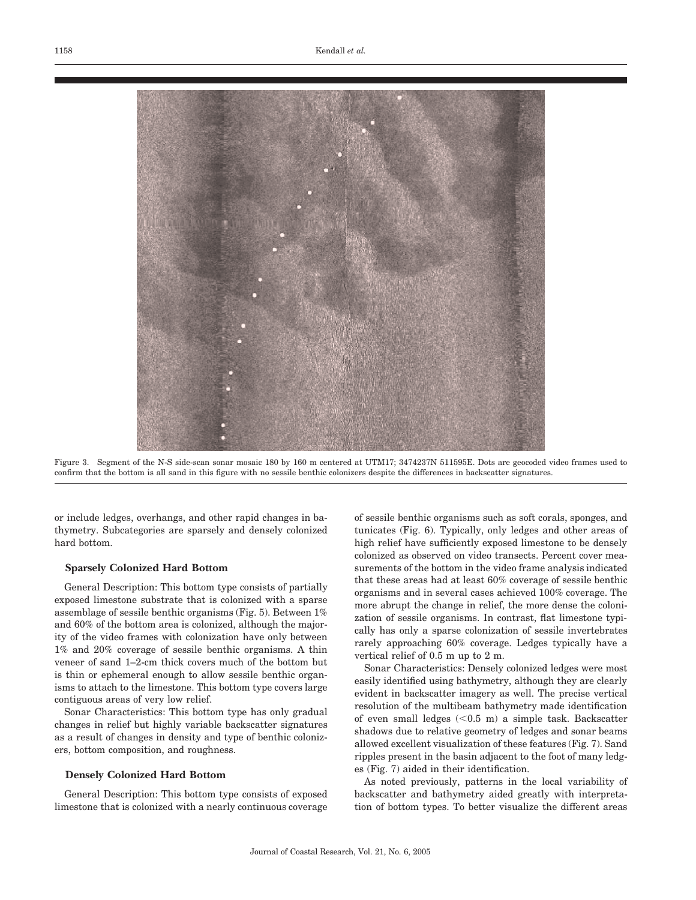

Figure 3. Segment of the N-S side-scan sonar mosaic 180 by 160 m centered at UTM17; 3474237N 511595E. Dots are geocoded video frames used to confirm that the bottom is all sand in this figure with no sessile benthic colonizers despite the differences in backscatter signatures.

or include ledges, overhangs, and other rapid changes in bathymetry. Subcategories are sparsely and densely colonized hard bottom.

#### **Sparsely Colonized Hard Bottom**

General Description: This bottom type consists of partially exposed limestone substrate that is colonized with a sparse assemblage of sessile benthic organisms (Fig. 5). Between 1% and 60% of the bottom area is colonized, although the majority of the video frames with colonization have only between 1% and 20% coverage of sessile benthic organisms. A thin veneer of sand 1–2-cm thick covers much of the bottom but is thin or ephemeral enough to allow sessile benthic organisms to attach to the limestone. This bottom type covers large contiguous areas of very low relief.

Sonar Characteristics: This bottom type has only gradual changes in relief but highly variable backscatter signatures as a result of changes in density and type of benthic colonizers, bottom composition, and roughness.

## **Densely Colonized Hard Bottom**

General Description: This bottom type consists of exposed limestone that is colonized with a nearly continuous coverage

of sessile benthic organisms such as soft corals, sponges, and tunicates (Fig. 6). Typically, only ledges and other areas of high relief have sufficiently exposed limestone to be densely colonized as observed on video transects. Percent cover measurements of the bottom in the video frame analysis indicated that these areas had at least 60% coverage of sessile benthic organisms and in several cases achieved 100% coverage. The more abrupt the change in relief, the more dense the colonization of sessile organisms. In contrast, flat limestone typically has only a sparse colonization of sessile invertebrates rarely approaching 60% coverage. Ledges typically have a vertical relief of 0.5 m up to 2 m.

Sonar Characteristics: Densely colonized ledges were most easily identified using bathymetry, although they are clearly evident in backscatter imagery as well. The precise vertical resolution of the multibeam bathymetry made identification of even small ledges  $( $0.5$  m) a simple task. Backscatter$ shadows due to relative geometry of ledges and sonar beams allowed excellent visualization of these features (Fig. 7). Sand ripples present in the basin adjacent to the foot of many ledges (Fig. 7) aided in their identification.

As noted previously, patterns in the local variability of backscatter and bathymetry aided greatly with interpretation of bottom types. To better visualize the different areas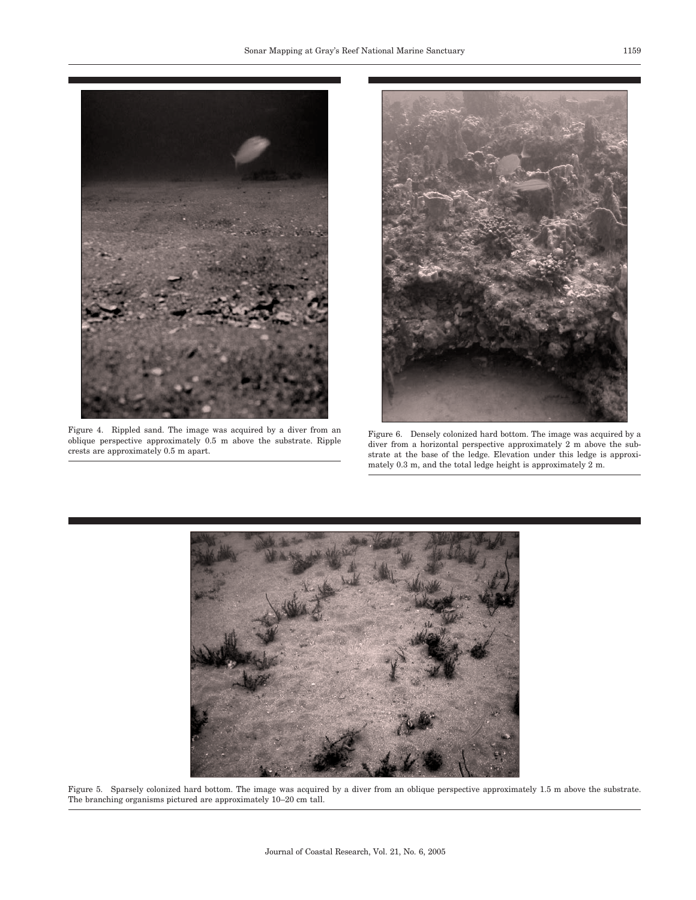

Figure 4. Rippled sand. The image was acquired by a diver from an oblique perspective approximately 0.5 m above the substrate. Ripple crests are approximately 0.5 m apart.



Figure 6. Densely colonized hard bottom. The image was acquired by a diver from a horizontal perspective approximately 2 m above the substrate at the base of the ledge. Elevation under this ledge is approximately 0.3 m, and the total ledge height is approximately 2 m.



Figure 5. Sparsely colonized hard bottom. The image was acquired by a diver from an oblique perspective approximately 1.5 m above the substrate. The branching organisms pictured are approximately 10–20 cm tall.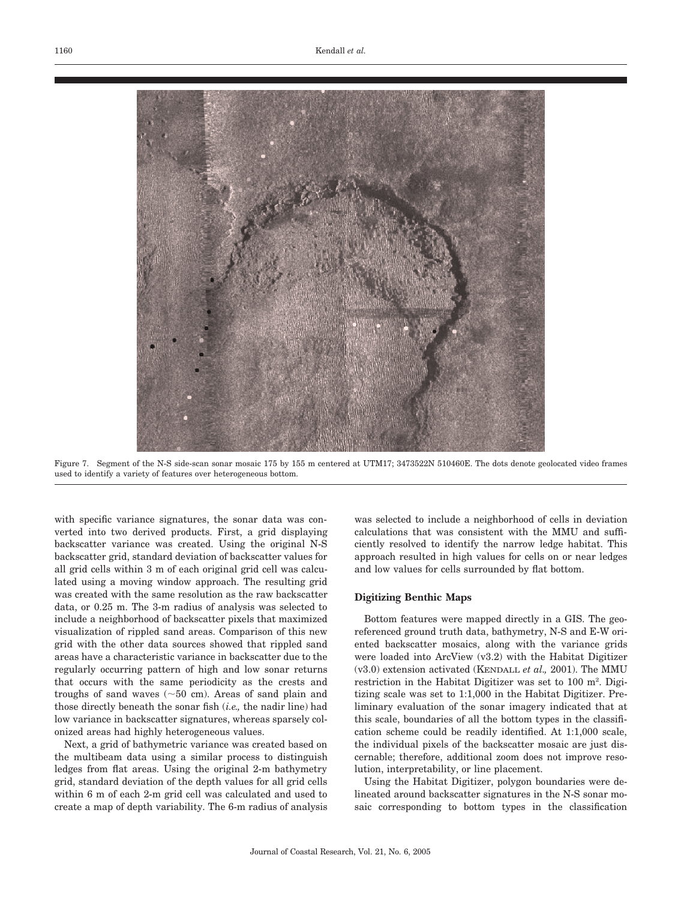

Figure 7. Segment of the N-S side-scan sonar mosaic 175 by 155 m centered at UTM17; 3473522N 510460E. The dots denote geolocated video frames used to identify a variety of features over heterogeneous bottom.

with specific variance signatures, the sonar data was converted into two derived products. First, a grid displaying backscatter variance was created. Using the original N-S backscatter grid, standard deviation of backscatter values for all grid cells within 3 m of each original grid cell was calculated using a moving window approach. The resulting grid was created with the same resolution as the raw backscatter data, or 0.25 m. The 3-m radius of analysis was selected to include a neighborhood of backscatter pixels that maximized visualization of rippled sand areas. Comparison of this new grid with the other data sources showed that rippled sand areas have a characteristic variance in backscatter due to the regularly occurring pattern of high and low sonar returns that occurs with the same periodicity as the crests and troughs of sand waves  $(-50 \text{ cm})$ . Areas of sand plain and those directly beneath the sonar fish (*i.e.,* the nadir line) had low variance in backscatter signatures, whereas sparsely colonized areas had highly heterogeneous values.

Next, a grid of bathymetric variance was created based on the multibeam data using a similar process to distinguish ledges from flat areas. Using the original 2-m bathymetry grid, standard deviation of the depth values for all grid cells within 6 m of each 2-m grid cell was calculated and used to create a map of depth variability. The 6-m radius of analysis

was selected to include a neighborhood of cells in deviation calculations that was consistent with the MMU and sufficiently resolved to identify the narrow ledge habitat. This approach resulted in high values for cells on or near ledges and low values for cells surrounded by flat bottom.

#### **Digitizing Benthic Maps**

Bottom features were mapped directly in a GIS. The georeferenced ground truth data, bathymetry, N-S and E-W oriented backscatter mosaics, along with the variance grids were loaded into ArcView (v3.2) with the Habitat Digitizer (v3.0) extension activated (KENDALL *et al.,* 2001). The MMU restriction in the Habitat Digitizer was set to 100 m2. Digitizing scale was set to 1:1,000 in the Habitat Digitizer. Preliminary evaluation of the sonar imagery indicated that at this scale, boundaries of all the bottom types in the classification scheme could be readily identified. At 1:1,000 scale, the individual pixels of the backscatter mosaic are just discernable; therefore, additional zoom does not improve resolution, interpretability, or line placement.

Using the Habitat Digitizer, polygon boundaries were delineated around backscatter signatures in the N-S sonar mosaic corresponding to bottom types in the classification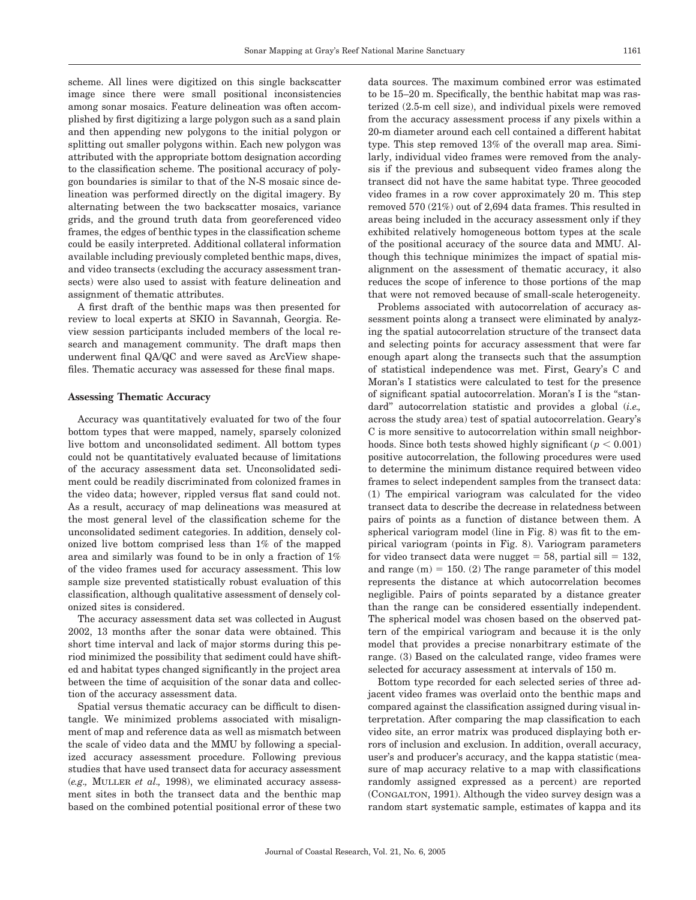scheme. All lines were digitized on this single backscatter image since there were small positional inconsistencies among sonar mosaics. Feature delineation was often accomplished by first digitizing a large polygon such as a sand plain and then appending new polygons to the initial polygon or splitting out smaller polygons within. Each new polygon was attributed with the appropriate bottom designation according to the classification scheme. The positional accuracy of polygon boundaries is similar to that of the N-S mosaic since delineation was performed directly on the digital imagery. By alternating between the two backscatter mosaics, variance grids, and the ground truth data from georeferenced video frames, the edges of benthic types in the classification scheme could be easily interpreted. Additional collateral information available including previously completed benthic maps, dives, and video transects (excluding the accuracy assessment transects) were also used to assist with feature delineation and assignment of thematic attributes.

A first draft of the benthic maps was then presented for review to local experts at SKIO in Savannah, Georgia. Review session participants included members of the local research and management community. The draft maps then underwent final QA/QC and were saved as ArcView shapefiles. Thematic accuracy was assessed for these final maps.

#### **Assessing Thematic Accuracy**

Accuracy was quantitatively evaluated for two of the four bottom types that were mapped, namely, sparsely colonized live bottom and unconsolidated sediment. All bottom types could not be quantitatively evaluated because of limitations of the accuracy assessment data set. Unconsolidated sediment could be readily discriminated from colonized frames in the video data; however, rippled versus flat sand could not. As a result, accuracy of map delineations was measured at the most general level of the classification scheme for the unconsolidated sediment categories. In addition, densely colonized live bottom comprised less than 1% of the mapped area and similarly was found to be in only a fraction of 1% of the video frames used for accuracy assessment. This low sample size prevented statistically robust evaluation of this classification, although qualitative assessment of densely colonized sites is considered.

The accuracy assessment data set was collected in August 2002, 13 months after the sonar data were obtained. This short time interval and lack of major storms during this period minimized the possibility that sediment could have shifted and habitat types changed significantly in the project area between the time of acquisition of the sonar data and collection of the accuracy assessment data.

Spatial versus thematic accuracy can be difficult to disentangle. We minimized problems associated with misalignment of map and reference data as well as mismatch between the scale of video data and the MMU by following a specialized accuracy assessment procedure. Following previous studies that have used transect data for accuracy assessment (*e.g.,* MULLER *et al.,* 1998), we eliminated accuracy assessment sites in both the transect data and the benthic map based on the combined potential positional error of these two data sources. The maximum combined error was estimated to be 15–20 m. Specifically, the benthic habitat map was rasterized (2.5-m cell size), and individual pixels were removed from the accuracy assessment process if any pixels within a 20-m diameter around each cell contained a different habitat type. This step removed 13% of the overall map area. Similarly, individual video frames were removed from the analysis if the previous and subsequent video frames along the transect did not have the same habitat type. Three geocoded video frames in a row cover approximately 20 m. This step removed 570 (21%) out of 2,694 data frames. This resulted in areas being included in the accuracy assessment only if they exhibited relatively homogeneous bottom types at the scale of the positional accuracy of the source data and MMU. Although this technique minimizes the impact of spatial misalignment on the assessment of thematic accuracy, it also reduces the scope of inference to those portions of the map that were not removed because of small-scale heterogeneity.

Problems associated with autocorrelation of accuracy assessment points along a transect were eliminated by analyzing the spatial autocorrelation structure of the transect data and selecting points for accuracy assessment that were far enough apart along the transects such that the assumption of statistical independence was met. First, Geary's C and Moran's I statistics were calculated to test for the presence of significant spatial autocorrelation. Moran's I is the ''standard'' autocorrelation statistic and provides a global (*i.e.,* across the study area) test of spatial autocorrelation. Geary's C is more sensitive to autocorrelation within small neighborhoods. Since both tests showed highly significant  $(p < 0.001)$ positive autocorrelation, the following procedures were used to determine the minimum distance required between video frames to select independent samples from the transect data: (1) The empirical variogram was calculated for the video transect data to describe the decrease in relatedness between pairs of points as a function of distance between them. A spherical variogram model (line in Fig. 8) was fit to the empirical variogram (points in Fig. 8). Variogram parameters for video transect data were nugget  $= 58$ , partial sill  $= 132$ , and range  $(m) = 150$ . (2) The range parameter of this model represents the distance at which autocorrelation becomes negligible. Pairs of points separated by a distance greater than the range can be considered essentially independent. The spherical model was chosen based on the observed pattern of the empirical variogram and because it is the only model that provides a precise nonarbitrary estimate of the range. (3) Based on the calculated range, video frames were selected for accuracy assessment at intervals of 150 m.

Bottom type recorded for each selected series of three adjacent video frames was overlaid onto the benthic maps and compared against the classification assigned during visual interpretation. After comparing the map classification to each video site, an error matrix was produced displaying both errors of inclusion and exclusion. In addition, overall accuracy, user's and producer's accuracy, and the kappa statistic (measure of map accuracy relative to a map with classifications randomly assigned expressed as a percent) are reported (CONGALTON, 1991). Although the video survey design was a random start systematic sample, estimates of kappa and its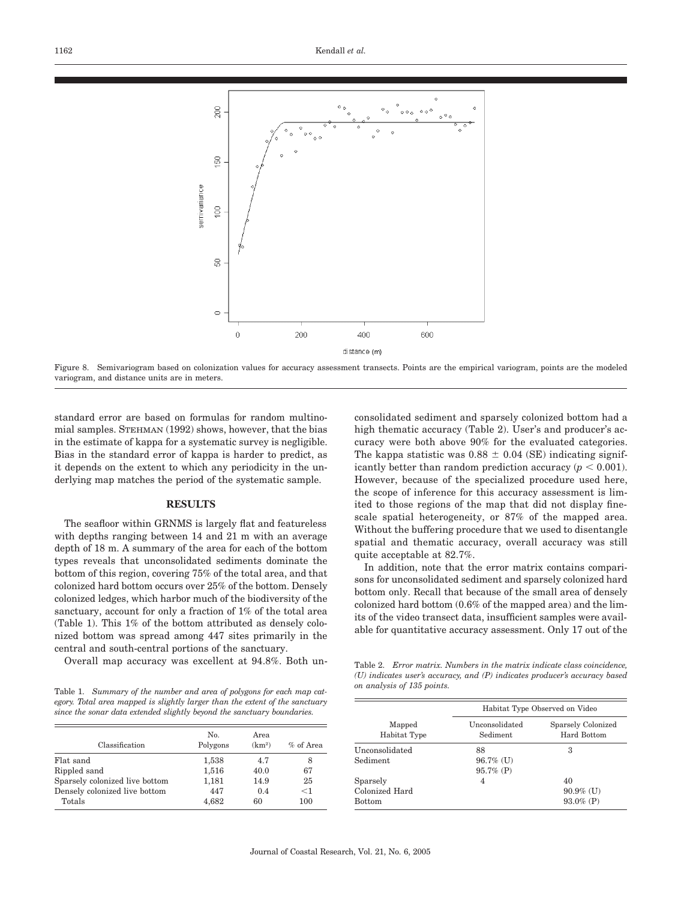



standard error are based on formulas for random multinomial samples. STEHMAN (1992) shows, however, that the bias in the estimate of kappa for a systematic survey is negligible. Bias in the standard error of kappa is harder to predict, as it depends on the extent to which any periodicity in the underlying map matches the period of the systematic sample.

## **RESULTS**

The seafloor within GRNMS is largely flat and featureless with depths ranging between 14 and 21 m with an average depth of 18 m. A summary of the area for each of the bottom types reveals that unconsolidated sediments dominate the bottom of this region, covering 75% of the total area, and that colonized hard bottom occurs over 25% of the bottom. Densely colonized ledges, which harbor much of the biodiversity of the sanctuary, account for only a fraction of 1% of the total area (Table 1). This 1% of the bottom attributed as densely colonized bottom was spread among 447 sites primarily in the central and south-central portions of the sanctuary.

Overall map accuracy was excellent at 94.8%. Both un-

Table 1. *Summary of the number and area of polygons for each map category. Total area mapped is slightly larger than the extent of the sanctuary since the sonar data extended slightly beyond the sanctuary boundaries.*

| Classification                 | No.<br>Polygons | Area<br>(km <sup>2</sup> ) | % of Area |
|--------------------------------|-----------------|----------------------------|-----------|
| Flat sand                      | 1,538           | 4.7                        | 8         |
| Rippled sand                   | 1,516           | 40.0                       | 67        |
| Sparsely colonized live bottom | 1,181           | 14.9                       | 25        |
| Densely colonized live bottom  | 447             | 0.4                        | $<$ 1     |
| Totals                         | 4,682           | 60                         | 100       |

consolidated sediment and sparsely colonized bottom had a high thematic accuracy (Table 2). User's and producer's accuracy were both above 90% for the evaluated categories. The kappa statistic was  $0.88 \pm 0.04$  (SE) indicating significantly better than random prediction accuracy ( $p < 0.001$ ). However, because of the specialized procedure used here, the scope of inference for this accuracy assessment is limited to those regions of the map that did not display finescale spatial heterogeneity, or 87% of the mapped area. Without the buffering procedure that we used to disentangle spatial and thematic accuracy, overall accuracy was still quite acceptable at 82.7%.

In addition, note that the error matrix contains comparisons for unconsolidated sediment and sparsely colonized hard bottom only. Recall that because of the small area of densely colonized hard bottom (0.6% of the mapped area) and the limits of the video transect data, insufficient samples were available for quantitative accuracy assessment. Only 17 out of the

Table 2. *Error matrix. Numbers in the matrix indicate class coincidence, (U) indicates user's accuracy, and (P) indicates producer's accuracy based on analysis of 135 points.*

|                           | Habitat Type Observed on Video |                                   |  |
|---------------------------|--------------------------------|-----------------------------------|--|
| Mapped<br>Habitat Type    | Unconsolidated<br>Sediment     | Sparsely Colonized<br>Hard Bottom |  |
| Unconsolidated            | 88                             | 3                                 |  |
| $\operatorname{Sediment}$ | $96.7\%$ (U)<br>$95.7\%$ (P)   |                                   |  |
| Sparsely                  | 4                              | 40                                |  |
| Colonized Hard            |                                | $90.9\%$ (U)                      |  |
| Bottom                    |                                | 93.0% (P)                         |  |
|                           |                                |                                   |  |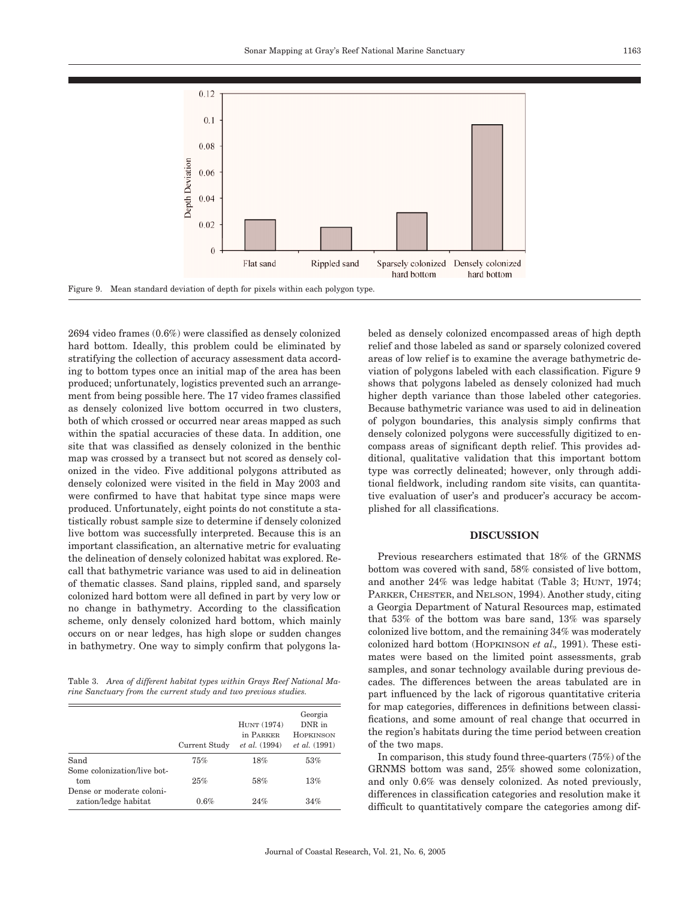

2694 video frames (0.6%) were classified as densely colonized hard bottom. Ideally, this problem could be eliminated by stratifying the collection of accuracy assessment data according to bottom types once an initial map of the area has been produced; unfortunately, logistics prevented such an arrangement from being possible here. The 17 video frames classified as densely colonized live bottom occurred in two clusters, both of which crossed or occurred near areas mapped as such within the spatial accuracies of these data. In addition, one site that was classified as densely colonized in the benthic map was crossed by a transect but not scored as densely colonized in the video. Five additional polygons attributed as densely colonized were visited in the field in May 2003 and were confirmed to have that habitat type since maps were produced. Unfortunately, eight points do not constitute a statistically robust sample size to determine if densely colonized live bottom was successfully interpreted. Because this is an important classification, an alternative metric for evaluating the delineation of densely colonized habitat was explored. Recall that bathymetric variance was used to aid in delineation of thematic classes. Sand plains, rippled sand, and sparsely colonized hard bottom were all defined in part by very low or no change in bathymetry. According to the classification scheme, only densely colonized hard bottom, which mainly occurs on or near ledges, has high slope or sudden changes in bathymetry. One way to simply confirm that polygons la-

Table 3. *Area of different habitat types within Grays Reef National Marine Sanctuary from the current study and two previous studies.*

|                                                                                         | Current Study | HUNT (1974)<br>in PARKER<br><i>et al.</i> (1994) | Georgia<br>DNR in<br><b>HOPKINSON</b><br><i>et al.</i> (1991) |
|-----------------------------------------------------------------------------------------|---------------|--------------------------------------------------|---------------------------------------------------------------|
| Sand                                                                                    | 75%           | 18%                                              | 53%                                                           |
| Some colonization/live bot-<br>tom<br>Dense or moderate coloni-<br>zation/ledge habitat | 25%           | 58%                                              | 13%                                                           |
|                                                                                         | 0.6%          | 24%                                              | 34%                                                           |

beled as densely colonized encompassed areas of high depth relief and those labeled as sand or sparsely colonized covered areas of low relief is to examine the average bathymetric deviation of polygons labeled with each classification. Figure 9 shows that polygons labeled as densely colonized had much higher depth variance than those labeled other categories. Because bathymetric variance was used to aid in delineation of polygon boundaries, this analysis simply confirms that densely colonized polygons were successfully digitized to encompass areas of significant depth relief. This provides additional, qualitative validation that this important bottom type was correctly delineated; however, only through additional fieldwork, including random site visits, can quantitative evaluation of user's and producer's accuracy be accomplished for all classifications.

#### **DISCUSSION**

Previous researchers estimated that 18% of the GRNMS bottom was covered with sand, 58% consisted of live bottom, and another 24% was ledge habitat (Table 3; HUNT, 1974; PARKER, CHESTER, and NELSON, 1994). Another study, citing a Georgia Department of Natural Resources map, estimated that 53% of the bottom was bare sand, 13% was sparsely colonized live bottom, and the remaining 34% was moderately colonized hard bottom (HOPKINSON *et al.,* 1991). These estimates were based on the limited point assessments, grab samples, and sonar technology available during previous decades. The differences between the areas tabulated are in part influenced by the lack of rigorous quantitative criteria for map categories, differences in definitions between classifications, and some amount of real change that occurred in the region's habitats during the time period between creation of the two maps.

In comparison, this study found three-quarters (75%) of the GRNMS bottom was sand, 25% showed some colonization, and only 0.6% was densely colonized. As noted previously, differences in classification categories and resolution make it difficult to quantitatively compare the categories among dif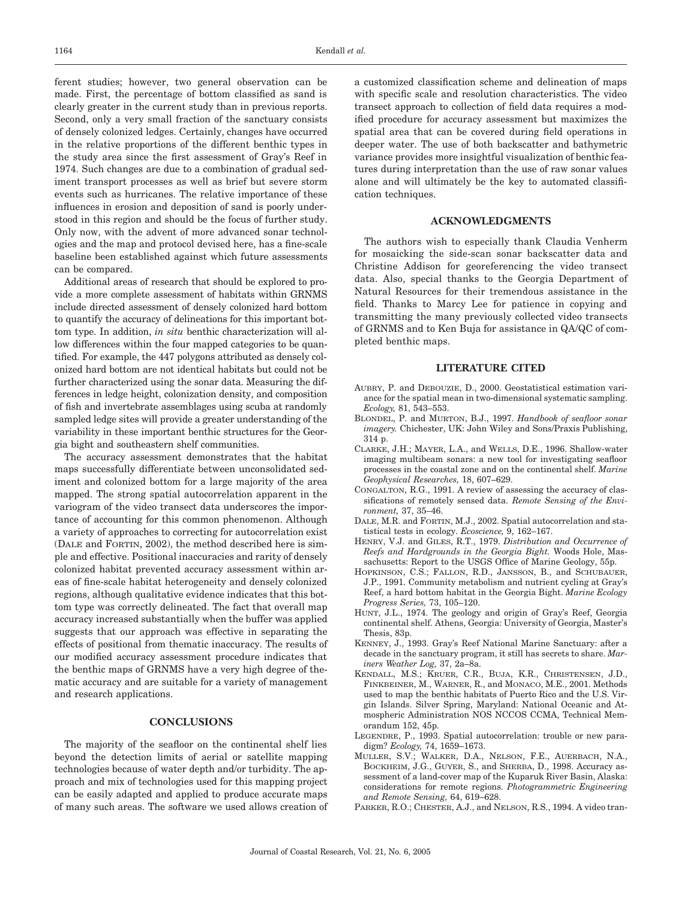ferent studies; however, two general observation can be made. First, the percentage of bottom classified as sand is clearly greater in the current study than in previous reports. Second, only a very small fraction of the sanctuary consists of densely colonized ledges. Certainly, changes have occurred in the relative proportions of the different benthic types in the study area since the first assessment of Gray's Reef in 1974. Such changes are due to a combination of gradual sediment transport processes as well as brief but severe storm events such as hurricanes. The relative importance of these influences in erosion and deposition of sand is poorly understood in this region and should be the focus of further study. Only now, with the advent of more advanced sonar technologies and the map and protocol devised here, has a fine-scale baseline been established against which future assessments can be compared.

Additional areas of research that should be explored to provide a more complete assessment of habitats within GRNMS include directed assessment of densely colonized hard bottom to quantify the accuracy of delineations for this important bottom type. In addition, *in situ* benthic characterization will allow differences within the four mapped categories to be quantified. For example, the 447 polygons attributed as densely colonized hard bottom are not identical habitats but could not be further characterized using the sonar data. Measuring the differences in ledge height, colonization density, and composition of fish and invertebrate assemblages using scuba at randomly sampled ledge sites will provide a greater understanding of the variability in these important benthic structures for the Georgia bight and southeastern shelf communities.

The accuracy assessment demonstrates that the habitat maps successfully differentiate between unconsolidated sediment and colonized bottom for a large majority of the area mapped. The strong spatial autocorrelation apparent in the variogram of the video transect data underscores the importance of accounting for this common phenomenon. Although a variety of approaches to correcting for autocorrelation exist (DALE and FORTIN, 2002), the method described here is simple and effective. Positional inaccuracies and rarity of densely colonized habitat prevented accuracy assessment within areas of fine-scale habitat heterogeneity and densely colonized regions, although qualitative evidence indicates that this bottom type was correctly delineated. The fact that overall map accuracy increased substantially when the buffer was applied suggests that our approach was effective in separating the effects of positional from thematic inaccuracy. The results of our modified accuracy assessment procedure indicates that the benthic maps of GRNMS have a very high degree of thematic accuracy and are suitable for a variety of management and research applications.

#### **CONCLUSIONS**

The majority of the seafloor on the continental shelf lies beyond the detection limits of aerial or satellite mapping technologies because of water depth and/or turbidity. The approach and mix of technologies used for this mapping project can be easily adapted and applied to produce accurate maps of many such areas. The software we used allows creation of a customized classification scheme and delineation of maps with specific scale and resolution characteristics. The video transect approach to collection of field data requires a modified procedure for accuracy assessment but maximizes the spatial area that can be covered during field operations in deeper water. The use of both backscatter and bathymetric variance provides more insightful visualization of benthic features during interpretation than the use of raw sonar values alone and will ultimately be the key to automated classification techniques.

## **ACKNOWLEDGMENTS**

The authors wish to especially thank Claudia Venherm for mosaicking the side-scan sonar backscatter data and Christine Addison for georeferencing the video transect data. Also, special thanks to the Georgia Department of Natural Resources for their tremendous assistance in the field. Thanks to Marcy Lee for patience in copying and transmitting the many previously collected video transects of GRNMS and to Ken Buja for assistance in QA/QC of completed benthic maps.

#### **LITERATURE CITED**

- AUBRY, P. and DEBOUZIE, D., 2000. Geostatistical estimation variance for the spatial mean in two-dimensional systematic sampling. *Ecology,* 81, 543–553.
- BLONDEL, P. and MURTON, B.J., 1997. *Handbook of seafloor sonar imagery.* Chichester, UK: John Wiley and Sons/Praxis Publishing, 314 p.
- CLARKE, J.H.; MAYER, L.A., and WELLS, D.E., 1996. Shallow-water imaging multibeam sonars: a new tool for investigating seafloor processes in the coastal zone and on the continental shelf. *Marine Geophysical Researches,* 18, 607–629.
- CONGALTON, R.G., 1991. A review of assessing the accuracy of classifications of remotely sensed data. *Remote Sensing of the Environment,* 37, 35–46.
- DALE, M.R. and FORTIN, M.J., 2002. Spatial autocorrelation and statistical tests in ecology. *Ecoscience,* 9, 162–167.
- HENRY, V.J. and GILES, R.T., 1979. *Distribution and Occurrence of Reefs and Hardgrounds in the Georgia Bight.* Woods Hole, Massachusetts: Report to the USGS Office of Marine Geology, 55p.
- HOPKINSON, C.S.; FALLON, R.D., JANSSON, B., and SCHUBAUER, J.P., 1991. Community metabolism and nutrient cycling at Gray's Reef, a hard bottom habitat in the Georgia Bight. *Marine Ecology Progress Series,* 73, 105–120.
- HUNT, J.L., 1974. The geology and origin of Gray's Reef, Georgia continental shelf. Athens, Georgia: University of Georgia, Master's Thesis, 83p.
- KENNEY, J., 1993. Gray's Reef National Marine Sanctuary: after a decade in the sanctuary program, it still has secrets to share. *Mariners Weather Log,* 37, 2a–8a.
- KENDALL, M.S.; KRUER, C.R., BUJA, K.R., CHRISTENSEN, J.D., FINKBEINER, M., WARNER, R., and MONACO, M.E., 2001. Methods used to map the benthic habitats of Puerto Rico and the U.S. Virgin Islands. Silver Spring, Maryland: National Oceanic and Atmospheric Administration NOS NCCOS CCMA, Technical Memorandum 152, 45p.
- LEGENDRE, P., 1993. Spatial autocorrelation: trouble or new paradigm? *Ecology,* 74, 1659–1673.
- MULLER, S.V.; WALKER, D.A., NELSON, F.E., AUERBACH, N.A., BOCKHEIM, J.G., GUYER, S., and SHERBA, D., 1998. Accuracy assessment of a land-cover map of the Kuparuk River Basin, Alaska: considerations for remote regions. *Photogrammetric Engineering and Remote Sensing,* 64, 619–628.
- PARKER, R.O.; CHESTER, A.J., and NELSON, R.S., 1994. A video tran-